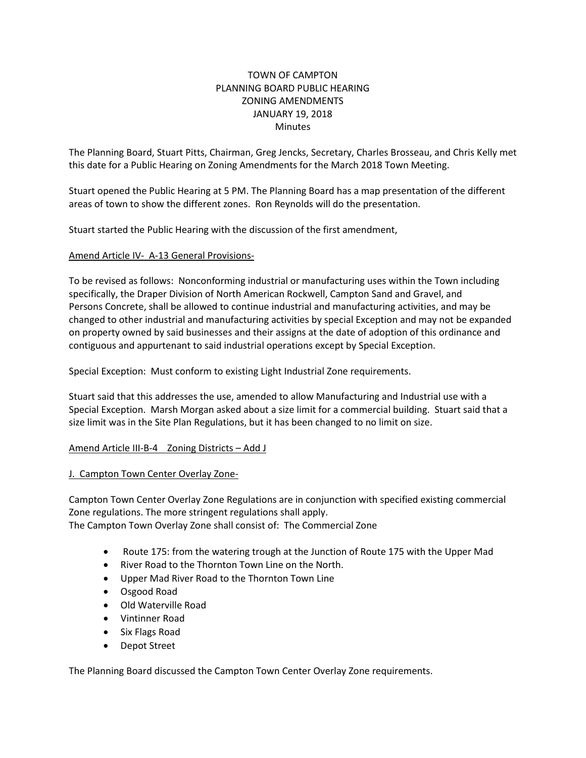## TOWN OF CAMPTON PLANNING BOARD PUBLIC HEARING ZONING AMENDMENTS JANUARY 19, 2018 Minutes

The Planning Board, Stuart Pitts, Chairman, Greg Jencks, Secretary, Charles Brosseau, and Chris Kelly met this date for a Public Hearing on Zoning Amendments for the March 2018 Town Meeting.

Stuart opened the Public Hearing at 5 PM. The Planning Board has a map presentation of the different areas of town to show the different zones. Ron Reynolds will do the presentation.

Stuart started the Public Hearing with the discussion of the first amendment,

## Amend Article IV- A-13 General Provisions-

To be revised as follows: Nonconforming industrial or manufacturing uses within the Town including specifically, the Draper Division of North American Rockwell, Campton Sand and Gravel, and Persons Concrete, shall be allowed to continue industrial and manufacturing activities, and may be changed to other industrial and manufacturing activities by special Exception and may not be expanded on property owned by said businesses and their assigns at the date of adoption of this ordinance and contiguous and appurtenant to said industrial operations except by Special Exception.

Special Exception: Must conform to existing Light Industrial Zone requirements.

Stuart said that this addresses the use, amended to allow Manufacturing and Industrial use with a Special Exception. Marsh Morgan asked about a size limit for a commercial building. Stuart said that a size limit was in the Site Plan Regulations, but it has been changed to no limit on size.

## Amend Article III-B-4 Zoning Districts – Add J

## J. Campton Town Center Overlay Zone-

Campton Town Center Overlay Zone Regulations are in conjunction with specified existing commercial Zone regulations. The more stringent regulations shall apply.

The Campton Town Overlay Zone shall consist of: The Commercial Zone

- Route 175: from the watering trough at the Junction of Route 175 with the Upper Mad
- River Road to the Thornton Town Line on the North.
- Upper Mad River Road to the Thornton Town Line
- Osgood Road
- Old Waterville Road
- Vintinner Road
- Six Flags Road
- Depot Street

The Planning Board discussed the Campton Town Center Overlay Zone requirements.